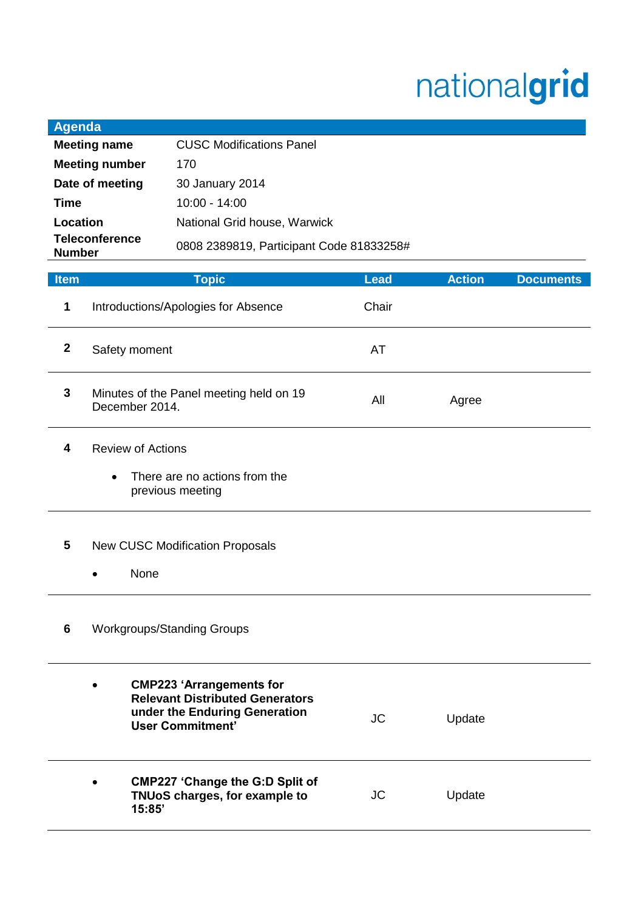## nationalgrid

| <b>Agenda</b>                            |                                                                |                                          |             |               |                  |
|------------------------------------------|----------------------------------------------------------------|------------------------------------------|-------------|---------------|------------------|
|                                          | <b>Meeting name</b>                                            | <b>CUSC Modifications Panel</b>          |             |               |                  |
| <b>Meeting number</b><br>170             |                                                                |                                          |             |               |                  |
| Date of meeting<br>30 January 2014       |                                                                |                                          |             |               |                  |
| 10:00 - 14:00<br>Time                    |                                                                |                                          |             |               |                  |
| Location<br>National Grid house, Warwick |                                                                |                                          |             |               |                  |
| <b>Teleconference</b><br><b>Number</b>   |                                                                | 0808 2389819, Participant Code 81833258# |             |               |                  |
| <b>Item</b>                              |                                                                |                                          | <b>Lead</b> | <b>Action</b> | <b>Documents</b> |
|                                          |                                                                | <b>Topic</b>                             |             |               |                  |
| 1                                        | Introductions/Apologies for Absence                            |                                          | Chair       |               |                  |
| $\mathbf{2}$                             | Safety moment                                                  |                                          | AT          |               |                  |
|                                          | 3<br>Minutes of the Panel meeting held on 19<br>December 2014. |                                          |             |               |                  |

- **4** Review of Actions
	- There are no actions from the previous meeting

## **5** New CUSC Modification Proposals

None

## **6** Workgroups/Standing Groups

| $\bullet$ | <b>CMP223 'Arrangements for</b><br><b>Relevant Distributed Generators</b><br>under the Enduring Generation<br>User Commitment' | JC | Update |  |
|-----------|--------------------------------------------------------------------------------------------------------------------------------|----|--------|--|
| $\bullet$ | <b>CMP227 'Change the G:D Split of</b><br>TNUoS charges, for example to<br>15:85'                                              | JC | Update |  |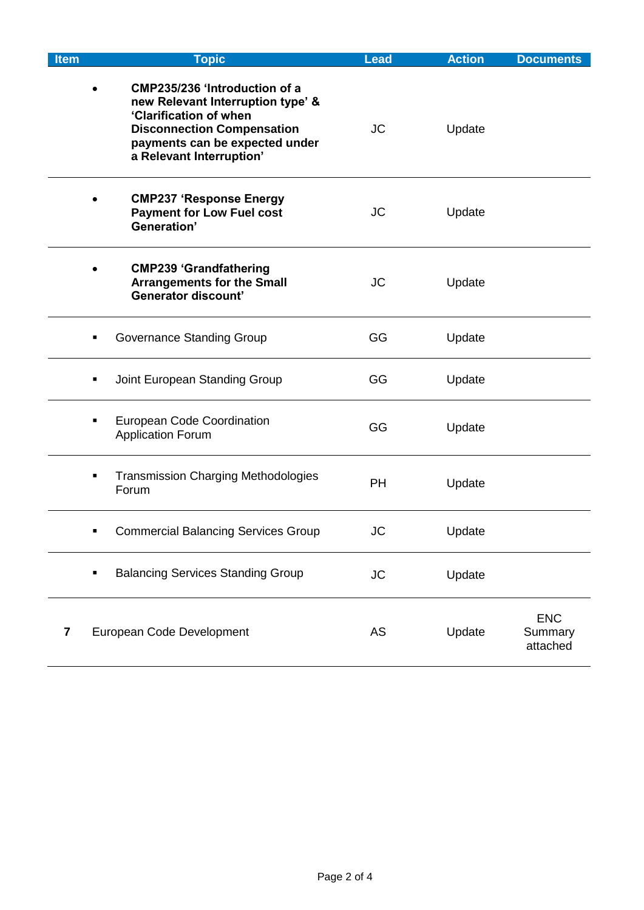| <b>Item</b> | <b>Topic</b>                                                                                                                                                                                    | <b>Lead</b> | <b>Action</b> | <b>Documents</b>                  |
|-------------|-------------------------------------------------------------------------------------------------------------------------------------------------------------------------------------------------|-------------|---------------|-----------------------------------|
|             | CMP235/236 'Introduction of a<br>new Relevant Interruption type' &<br>'Clarification of when<br><b>Disconnection Compensation</b><br>payments can be expected under<br>a Relevant Interruption' | <b>JC</b>   | Update        |                                   |
|             | <b>CMP237 'Response Energy</b><br><b>Payment for Low Fuel cost</b><br>Generation'                                                                                                               | <b>JC</b>   | Update        |                                   |
|             | <b>CMP239 'Grandfathering</b><br><b>Arrangements for the Small</b><br><b>Generator discount'</b>                                                                                                | JC          | Update        |                                   |
|             | Governance Standing Group<br>$\blacksquare$                                                                                                                                                     | GG          | Update        |                                   |
|             | Joint European Standing Group<br>٠                                                                                                                                                              | GG          | Update        |                                   |
|             | <b>European Code Coordination</b><br>$\blacksquare$<br><b>Application Forum</b>                                                                                                                 | GG          | Update        |                                   |
|             | <b>Transmission Charging Methodologies</b><br>$\blacksquare$<br>Forum                                                                                                                           | PH          | Update        |                                   |
|             | <b>Commercial Balancing Services Group</b><br>٠                                                                                                                                                 | <b>JC</b>   | Update        |                                   |
|             | <b>Balancing Services Standing Group</b><br>$\blacksquare$                                                                                                                                      | <b>JC</b>   | Update        |                                   |
| 7           | European Code Development                                                                                                                                                                       | AS          | Update        | <b>ENC</b><br>Summary<br>attached |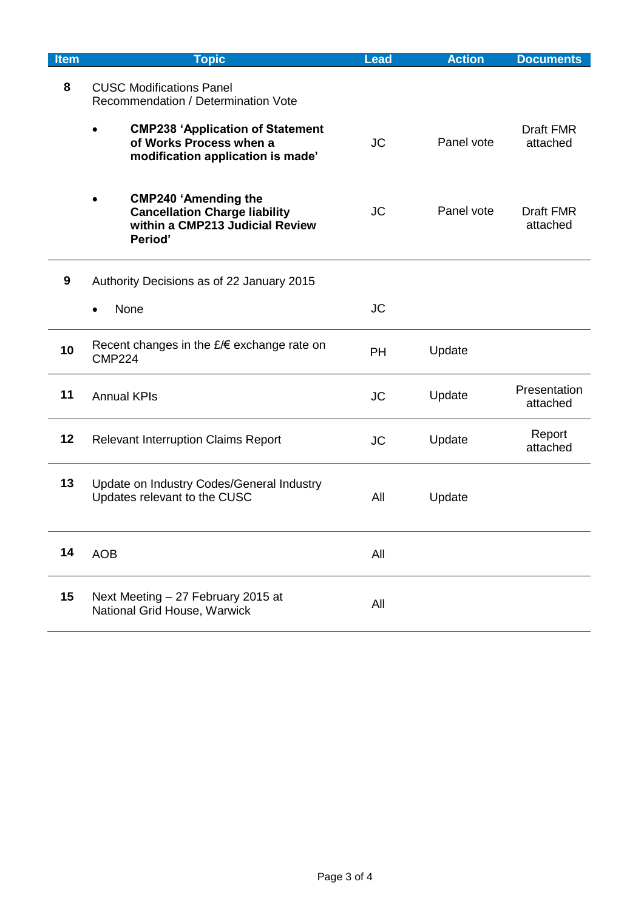| <b>Item</b> | <b>Topic</b>                                                                                                      | <b>Lead</b> | <b>Action</b> | <b>Documents</b>             |
|-------------|-------------------------------------------------------------------------------------------------------------------|-------------|---------------|------------------------------|
| 8           | <b>CUSC Modifications Panel</b><br>Recommendation / Determination Vote                                            |             |               |                              |
|             | <b>CMP238 'Application of Statement</b><br>of Works Process when a<br>modification application is made'           | <b>JC</b>   | Panel vote    | <b>Draft FMR</b><br>attached |
|             | <b>CMP240 'Amending the</b><br><b>Cancellation Charge liability</b><br>within a CMP213 Judicial Review<br>Period' | <b>JC</b>   | Panel vote    | <b>Draft FMR</b><br>attached |
| 9           | Authority Decisions as of 22 January 2015                                                                         |             |               |                              |
|             | None                                                                                                              | <b>JC</b>   |               |                              |
| 10          | Recent changes in the $E/E$ exchange rate on<br><b>CMP224</b>                                                     | <b>PH</b>   | Update        |                              |
| 11          | <b>Annual KPIs</b>                                                                                                | <b>JC</b>   | Update        | Presentation<br>attached     |
| 12          | <b>Relevant Interruption Claims Report</b>                                                                        | <b>JC</b>   | Update        | Report<br>attached           |
| 13          | Update on Industry Codes/General Industry<br>Updates relevant to the CUSC                                         | All         | Update        |                              |
| 14          | <b>AOB</b>                                                                                                        | All         |               |                              |
| 15          | Next Meeting - 27 February 2015 at<br>National Grid House, Warwick                                                | All         |               |                              |